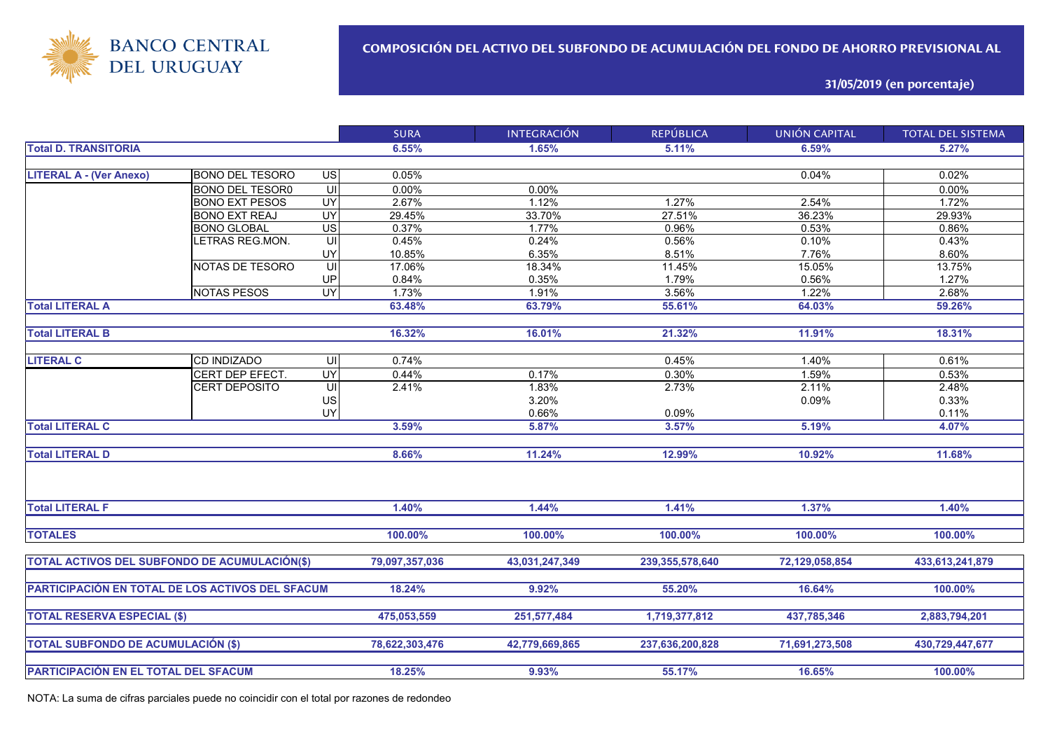

**31/05/2019 (en porcentaje)**

|                                                  |                        |                                     | <b>SURA</b>    | <b>INTEGRACIÓN</b> | <b>REPÚBLICA</b>   | <b>UNIÓN CAPITAL</b> | <b>TOTAL DEL SISTEMA</b> |
|--------------------------------------------------|------------------------|-------------------------------------|----------------|--------------------|--------------------|----------------------|--------------------------|
| <b>Total D. TRANSITORIA</b>                      |                        |                                     | 6.55%          | 1.65%              | 5.11%              | 6.59%                | 5.27%                    |
|                                                  |                        |                                     |                |                    |                    |                      |                          |
| <b>LITERAL A - (Ver Anexo)</b>                   | <b>BONO DEL TESORO</b> | $\overline{S}$                      | 0.05%          |                    |                    | 0.04%                | 0.02%                    |
|                                                  | <b>BONO DEL TESOR0</b> | $\overline{\underline{\mathsf{C}}}$ | 0.00%          | 0.00%              |                    |                      | 0.00%                    |
|                                                  | <b>BONO EXT PESOS</b>  | <b>UY</b>                           | 2.67%          | 1.12%              | 1.27%              | 2.54%                | 1.72%                    |
|                                                  | <b>BONO EXT REAJ</b>   | UY                                  | 29.45%         | 33.70%             | 27.51%             | 36.23%               | 29.93%                   |
|                                                  | <b>BONO GLOBAL</b>     | $\overline{US}$                     | 0.37%          | 1.77%              | 0.96%              | 0.53%                | 0.86%                    |
|                                                  | LETRAS REG.MON.        | UI                                  | 0.45%          | 0.24%              | 0.56%              | 0.10%                | 0.43%                    |
|                                                  |                        | UY                                  | 10.85%         | 6.35%              | 8.51%              | 7.76%                | 8.60%                    |
|                                                  | NOTAS DE TESORO        |                                     | 17.06%         | 18.34%             | 11.45%             | 15.05%               | 13.75%                   |
|                                                  |                        | UP                                  | 0.84%          | 0.35%              | 1.79%              | 0.56%                | 1.27%                    |
|                                                  | <b>NOTAS PESOS</b>     | UY                                  | 1.73%          | 1.91%              | 3.56%              | 1.22%                | 2.68%                    |
| <b>Total LITERAL A</b>                           |                        |                                     | 63.48%         | 63.79%             | 55.61%             | 64.03%               | 59.26%                   |
|                                                  |                        |                                     |                |                    |                    |                      |                          |
| <b>Total LITERAL B</b>                           |                        |                                     | 16.32%         | 16.01%             | 21.32%             | 11.91%               | 18.31%                   |
|                                                  |                        |                                     |                |                    |                    |                      |                          |
| <b>LITERAL C</b>                                 | CD INDIZADO            | UI                                  | 0.74%          |                    | 0.45%              | 1.40%                | 0.61%                    |
|                                                  | CERT DEP EFECT.        | UY                                  | 0.44%          | 0.17%              | 0.30%              | 1.59%                | 0.53%                    |
|                                                  | <b>CERT DEPOSITO</b>   | UI                                  | 2.41%          | 1.83%              | 2.73%              | 2.11%                | 2.48%                    |
|                                                  |                        | US                                  |                | 3.20%              |                    | 0.09%                | 0.33%                    |
|                                                  |                        | UY                                  |                | 0.66%              | 0.09%              |                      | 0.11%                    |
| <b>Total LITERAL C</b>                           |                        |                                     | 3.59%          | 5.87%              | 3.57%              | 5.19%                | 4.07%                    |
|                                                  |                        |                                     |                |                    |                    |                      |                          |
| <b>Total LITERAL D</b>                           |                        |                                     | 8.66%          | 11.24%             | 12.99%             | 10.92%               | 11.68%                   |
|                                                  |                        |                                     |                |                    |                    |                      |                          |
| <b>Total LITERAL F</b>                           |                        |                                     | 1.40%          | 1.44%              | 1.41%              | 1.37%                | 1.40%                    |
|                                                  |                        |                                     |                |                    |                    |                      |                          |
| <b>TOTALES</b>                                   |                        |                                     | 100.00%        | 100.00%            | 100.00%            | 100.00%              | 100.00%                  |
| TOTAL ACTIVOS DEL SUBFONDO DE ACUMULACIÓN(\$)    |                        |                                     | 79,097,357,036 | 43,031,247,349     | 239, 355, 578, 640 | 72,129,058,854       | 433,613,241,879          |
|                                                  |                        |                                     |                |                    |                    |                      |                          |
| PARTICIPACIÓN EN TOTAL DE LOS ACTIVOS DEL SFACUM |                        |                                     | 18.24%         | 9.92%              | 55.20%             | 16.64%               | 100.00%                  |
|                                                  |                        |                                     |                |                    |                    |                      |                          |
| <b>TOTAL RESERVA ESPECIAL (\$)</b>               |                        |                                     | 475,053,559    | 251,577,484        | 1,719,377,812      | 437,785,346          | 2,883,794,201            |
|                                                  |                        |                                     |                |                    |                    |                      |                          |
| <b>TOTAL SUBFONDO DE ACUMULACIÓN (\$)</b>        |                        |                                     | 78,622,303,476 | 42,779,669,865     | 237,636,200,828    | 71,691,273,508       | 430,729,447,677          |
|                                                  |                        |                                     |                |                    |                    |                      |                          |
| <b>PARTICIPACIÓN EN EL TOTAL DEL SFACUM</b>      |                        |                                     | 18.25%         | 9.93%              | 55.17%             | 16.65%               | 100.00%                  |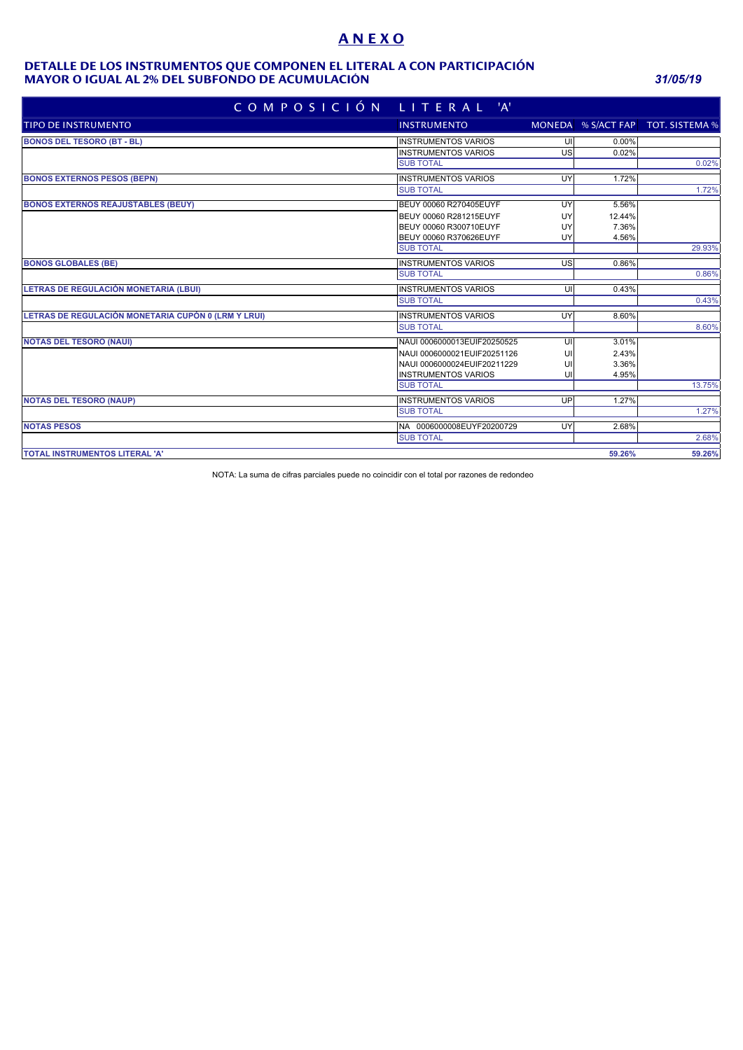# **A N E X O**

#### **MAYOR O IGUAL AL 2% DEL SUBFONDO DE ACUMULACIÓN** *31/05/19* **DETALLE DE LOS INSTRUMENTOS QUE COMPONEN EL LITERAL A CON PARTICIPACIÓN**

| COMPOSICIÓN LITERAL 'A'                             |                             |    |        |                                   |
|-----------------------------------------------------|-----------------------------|----|--------|-----------------------------------|
| TIPO DE INSTRUMENTO                                 | <b>INSTRUMENTO</b>          |    |        | MONEDA % S/ACT FAP TOT. SISTEMA % |
| <b>BONOS DEL TESORO (BT - BL)</b>                   | <b>INSTRUMENTOS VARIOS</b>  | UI | 0.00%  |                                   |
|                                                     | <b>INSTRUMENTOS VARIOS</b>  | US | 0.02%  |                                   |
|                                                     | <b>SUB TOTAL</b>            |    |        | 0.02%                             |
| <b>BONOS EXTERNOS PESOS (BEPN)</b>                  | <b>INSTRUMENTOS VARIOS</b>  | UY | 1.72%  |                                   |
|                                                     | <b>SUB TOTAL</b>            |    |        | 1.72%                             |
| <b>BONOS EXTERNOS REAJUSTABLES (BEUY)</b>           | BEUY 00060 R270405EUYF      | UY | 5.56%  |                                   |
|                                                     | BEUY 00060 R281215EUYF      | UY | 12.44% |                                   |
|                                                     | BEUY 00060 R300710EUYF      | UY | 7.36%  |                                   |
|                                                     | BEUY 00060 R370626EUYF      | UY | 4.56%  |                                   |
|                                                     | <b>SUB TOTAL</b>            |    |        | 29.93%                            |
| <b>BONOS GLOBALES (BE)</b>                          | <b>INSTRUMENTOS VARIOS</b>  | US | 0.86%  |                                   |
|                                                     | <b>SUB TOTAL</b>            |    |        | 0.86%                             |
| LETRAS DE REGULACIÓN MONETARIA (LBUI)               | <b>INSTRUMENTOS VARIOS</b>  | UI | 0.43%  |                                   |
|                                                     | <b>SUB TOTAL</b>            |    |        | 0.43%                             |
| LETRAS DE REGULACIÓN MONETARIA CUPÓN 0 (LRM Y LRUI) | <b>INSTRUMENTOS VARIOS</b>  | UY | 8.60%  |                                   |
|                                                     | <b>SUB TOTAL</b>            |    |        | 8.60%                             |
| <b>NOTAS DEL TESORO (NAUI)</b>                      | NAUI 0006000013EUIF20250525 | UI | 3.01%  |                                   |
|                                                     | NAUI 0006000021EUIF20251126 | UI | 2.43%  |                                   |
|                                                     | NAUI 0006000024EUIF20211229 | UI | 3.36%  |                                   |
|                                                     | <b>INSTRUMENTOS VARIOS</b>  | U  | 4.95%  |                                   |
|                                                     | <b>SUB TOTAL</b>            |    |        | 13.75%                            |
| <b>NOTAS DEL TESORO (NAUP)</b>                      | <b>INSTRUMENTOS VARIOS</b>  | UP | 1.27%  |                                   |
|                                                     | <b>SUB TOTAL</b>            |    |        | 1.27%                             |
| <b>NOTAS PESOS</b>                                  | NA 0006000008EUYF20200729   | UY | 2.68%  |                                   |
|                                                     | <b>SUB TOTAL</b>            |    |        | 2.68%                             |
| <b>TOTAL INSTRUMENTOS LITERAL 'A'</b>               |                             |    | 59.26% | 59.26%                            |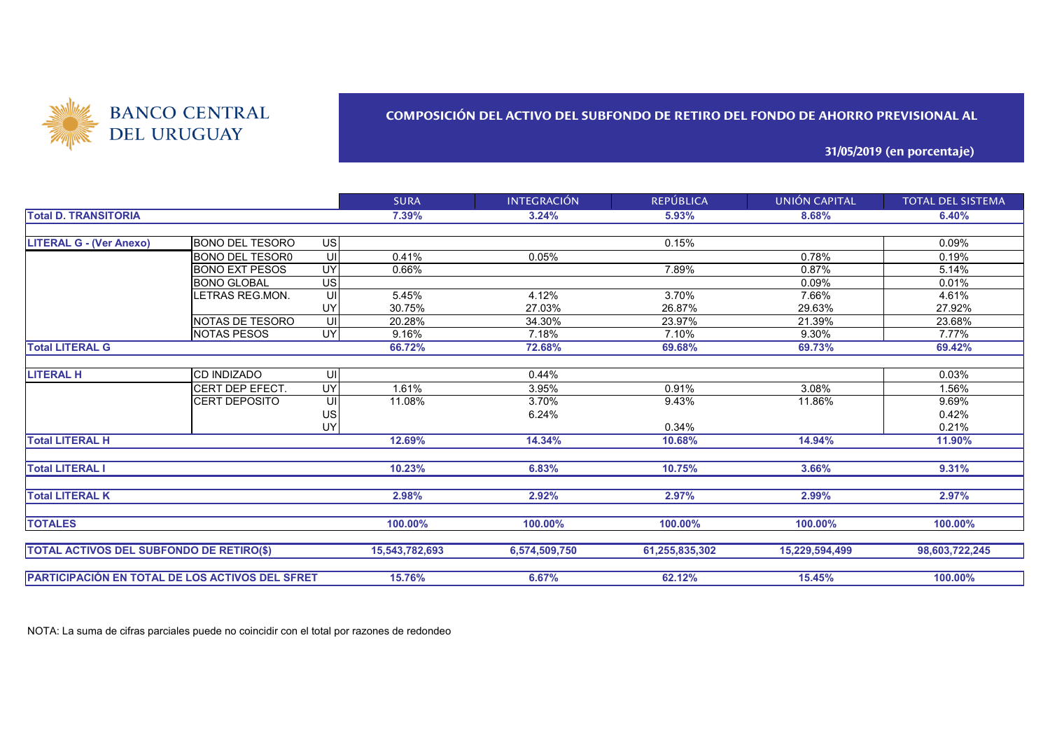

### **COMPOSICIÓN DEL ACTIVO DEL SUBFONDO DE RETIRO DEL FONDO DE AHORRO PREVISIONAL AL**

**31/05/2019 (en porcentaje)**

|                                                 |                        |           | <b>SURA</b>    | <b>INTEGRACIÓN</b> | <b>REPÚBLICA</b> | UNIÓN CAPITAL  | <b>TOTAL DEL SISTEMA</b> |
|-------------------------------------------------|------------------------|-----------|----------------|--------------------|------------------|----------------|--------------------------|
| <b>Total D. TRANSITORIA</b>                     |                        |           | 7.39%          | 3.24%              | 5.93%            | 8.68%          | 6.40%                    |
|                                                 |                        |           |                |                    |                  |                |                          |
| <b>LITERAL G - (Ver Anexo)</b>                  | <b>BONO DEL TESORO</b> | <b>US</b> |                |                    | 0.15%            |                | 0.09%                    |
|                                                 | <b>BONO DEL TESOR0</b> | UI        | 0.41%          | 0.05%              |                  | 0.78%          | 0.19%                    |
|                                                 | <b>BONO EXT PESOS</b>  | <b>UY</b> | 0.66%          |                    | 7.89%            | 0.87%          | 5.14%                    |
|                                                 | <b>BONO GLOBAL</b>     | <b>US</b> |                |                    |                  | 0.09%          | 0.01%                    |
|                                                 | LETRAS REG.MON.        | UI        | 5.45%          | 4.12%              | 3.70%            | 7.66%          | 4.61%                    |
|                                                 |                        | UY        | 30.75%         | 27.03%             | 26.87%           | 29.63%         | 27.92%                   |
|                                                 | <b>NOTAS DE TESORO</b> | UI        | 20.28%         | 34.30%             | 23.97%           | 21.39%         | 23.68%                   |
|                                                 | <b>NOTAS PESOS</b>     | <b>UY</b> | 9.16%          | 7.18%              | 7.10%            | 9.30%          | 7.77%                    |
| <b>Total LITERAL G</b>                          |                        |           | 66.72%         | 72.68%             | 69.68%           | 69.73%         | 69.42%                   |
|                                                 |                        |           |                |                    |                  |                |                          |
| <b>LITERAL H</b>                                | <b>CD INDIZADO</b>     | UI        |                | 0.44%              |                  |                | 0.03%                    |
|                                                 | CERT DEP EFECT.        | UY        | 1.61%          | 3.95%              | 0.91%            | 3.08%          | 1.56%                    |
|                                                 | <b>CERT DEPOSITO</b>   | UI        | 11.08%         | 3.70%              | 9.43%            | 11.86%         | 9.69%                    |
|                                                 |                        | <b>US</b> |                | 6.24%              |                  |                | 0.42%                    |
|                                                 |                        | <b>UY</b> |                |                    | 0.34%            |                | 0.21%                    |
| <b>Total LITERAL H</b>                          |                        |           | 12.69%         | 14.34%             | 10.68%           | 14.94%         | 11.90%                   |
| <b>Total LITERAL I</b>                          |                        | 10.23%    | 6.83%          | 10.75%             | 3.66%            | 9.31%          |                          |
| <b>Total LITERAL K</b>                          |                        |           | 2.98%          | 2.92%              | 2.97%            | 2.99%          | 2.97%                    |
| <b>TOTALES</b>                                  |                        |           | 100.00%        | 100.00%            | 100.00%          | 100.00%        | 100.00%                  |
| <b>TOTAL ACTIVOS DEL SUBFONDO DE RETIRO(\$)</b> |                        |           | 15,543,782,693 | 6,574,509,750      | 61,255,835,302   | 15,229,594,499 | 98,603,722,245           |
| PARTICIPACIÓN EN TOTAL DE LOS ACTIVOS DEL SFRET |                        |           | 15.76%         | 6.67%              | 62.12%           | 15.45%         | 100.00%                  |